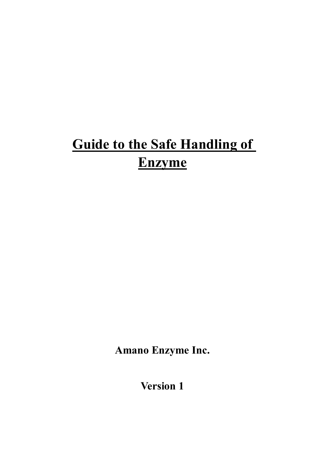# **Guide to the Safe Handling of Enzyme**

**Amano Enzyme Inc.** 

**Version 1**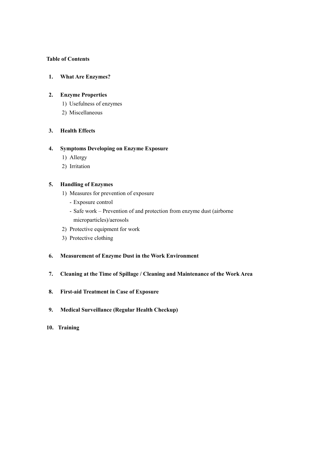## **Table of Contents**

# **1. What Are Enzymes?**

# **2. Enzyme Properties**

- 1) Usefulness of enzymes
- 2) Miscellaneous

# **3. Health Effects**

## **4. Symptoms Developing on Enzyme Exposure**

- 1) Allergy
- 2) Irritation

# **5. Handling of Enzymes**

- 1) Measures for prevention of exposure
	- Exposure control
	- Safe work Prevention of and protection from enzyme dust (airborne microparticles)/aerosols
- 2) Protective equipment for work
- 3) Protective clothing

## **6. Measurement of Enzyme Dust in the Work Environment**

- **7. Cleaning at the Time of Spillage / Cleaning and Maintenance of the Work Area**
- **8. First-aid Treatment in Case of Exposure**
- **9. Medical Surveillance (Regular Health Checkup)**

## **10. Training**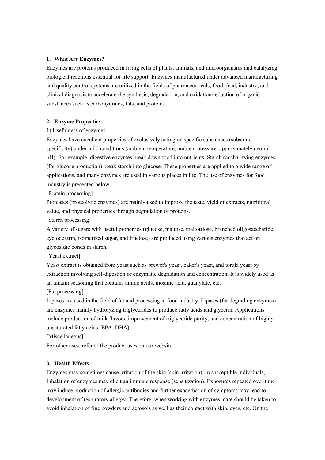## **1. What Are Enzymes?**

Enzymes are proteins produced in living cells of plants, animals, and microorganisms and catalyzing biological reactions essential for life support. Enzymes manufactured under advanced manufacturing and quality control systems are utilized in the fields of pharmaceuticals, food, feed, industry, and clinical diagnosis to accelerate the synthesis, degradation, and oxidation/reduction of organic substances such as carbohydrates, fats, and proteins.

#### **2. Enzyme Properties**

## 1) Usefulness of enzymes

Enzymes have excellent properties of exclusively acting on specific substances (substrate specificity) under mild conditions (ambient temperature, ambient pressure, approximately neutral pH). For example, digestive enzymes break down food into nutrients. Starch saccharifying enzymes (for glucose production) break starch into glucose. These properties are applied to a wide range of applications, and many enzymes are used in various places in life. The use of enzymes for food industry is presented below.

[Protein processing]

Proteases (proteolytic enzymes) are mainly used to improve the taste, yield of extracts, nutritional value, and physical properties through degradation of proteins.

[Starch processing]

A variety of sugars with useful properties (glucose, maltose, maltotriose, branched oligosaccharide, cyclodextrin, isomerized sugar, and fructose) are produced using various enzymes that act on glycosidic bonds in starch.

[Yeast extract]

Yeast extract is obtained from yeast such as brewer's yeast, baker's yeast, and torula yeast by extraction involving self-digestion or enzymatic degradation and concentration. It is widely used as an umami seasoning that contains amino acids, inosinic acid, guanylate, etc.

[Fat processing]

Lipases are used in the field of fat and processing in food industry. Lipases (fat-degrading enzymes) are enzymes mainly hydrolyzing triglycerides to produce fatty acids and glycerin. Applications include production of milk flavors, improvement of triglyceride purity, and concentration of highly unsaturated fatty acids (EPA, DHA).

[Miscellaneous]

For other uses, refer to the product uses on our website.

#### **3. Health Effects**

Enzymes may sometimes cause irritation of the skin (skin irritation). In susceptible individuals, Inhalation of enzymes may elicit an immune response (sensitization). Exposures repeated over time may induce production of allergic antibodies and further exacerbation of symptoms may lead to development of respiratory allergy. Therefore, when working with enzymes, care should be taken to avoid inhalation of fine powders and aerosols as well as their contact with skin, eyes, etc. On the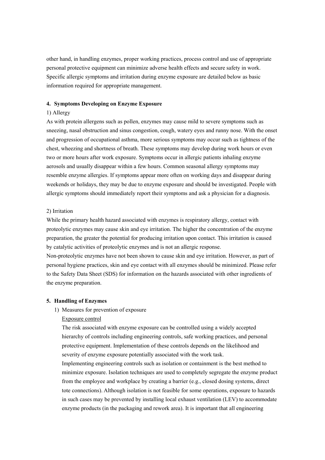other hand, in handling enzymes, proper working practices, process control and use of appropriate personal protective equipment can minimize adverse health effects and secure safety in work. Specific allergic symptoms and irritation during enzyme exposure are detailed below as basic information required for appropriate management.

#### **4. Symptoms Developing on Enzyme Exposure**

## 1) Allergy

As with protein allergens such as pollen, enzymes may cause mild to severe symptoms such as sneezing, nasal obstruction and sinus congestion, cough, watery eyes and runny nose. With the onset and progression of occupational asthma, more serious symptoms may occur such as tightness of the chest, wheezing and shortness of breath. These symptoms may develop during work hours or even two or more hours after work exposure. Symptoms occur in allergic patients inhaling enzyme aerosols and usually disappear within a few hours. Common seasonal allergy symptoms may resemble enzyme allergies. If symptoms appear more often on working days and disappear during weekends or holidays, they may be due to enzyme exposure and should be investigated. People with allergic symptoms should immediately report their symptoms and ask a physician for a diagnosis.

#### 2) Irritation

While the primary health hazard associated with enzymes is respiratory allergy, contact with proteolytic enzymes may cause skin and eye irritation. The higher the concentration of the enzyme preparation, the greater the potential for producing irritation upon contact. This irritation is caused by catalytic activities of proteolytic enzymes and is not an allergic response.

Non-proteolytic enzymes have not been shown to cause skin and eye irritation. However, as part of personal hygiene practices, skin and eye contact with all enzymes should be minimized. Please refer to the Safety Data Sheet (SDS) for information on the hazards associated with other ingredients of the enzyme preparation.

#### **5. Handling of Enzymes**

1) Measures for prevention of exposure

## Exposure control

The risk associated with enzyme exposure can be controlled using a widely accepted hierarchy of controls including engineering controls, safe working practices, and personal protective equipment. Implementation of these controls depends on the likelihood and severity of enzyme exposure potentially associated with the work task.

Implementing engineering controls such as isolation or containment is the best method to minimize exposure. Isolation techniques are used to completely segregate the enzyme product from the employee and workplace by creating a barrier (e.g., closed dosing systems, direct tote connections). Although isolation is not feasible for some operations, exposure to hazards in such cases may be prevented by installing local exhaust ventilation (LEV) to accommodate enzyme products (in the packaging and rework area). It is important that all engineering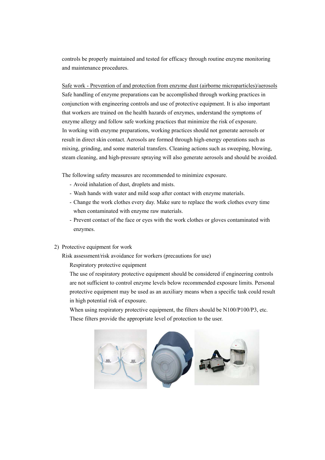controls be properly maintained and tested for efficacy through routine enzyme monitoring and maintenance procedures.

Safe work - Prevention of and protection from enzyme dust (airborne microparticles)/aerosols Safe handling of enzyme preparations can be accomplished through working practices in conjunction with engineering controls and use of protective equipment. It is also important that workers are trained on the health hazards of enzymes, understand the symptoms of enzyme allergy and follow safe working practices that minimize the risk of exposure. In working with enzyme preparations, working practices should not generate aerosols or result in direct skin contact. Aerosols are formed through high-energy operations such as mixing, grinding, and some material transfers. Cleaning actions such as sweeping, blowing, steam cleaning, and high-pressure spraying will also generate aerosols and should be avoided.

The following safety measures are recommended to minimize exposure.

- Avoid inhalation of dust, droplets and mists.
- Wash hands with water and mild soap after contact with enzyme materials.
- Change the work clothes every day. Make sure to replace the work clothes every time when contaminated with enzyme raw materials.
- Prevent contact of the face or eyes with the work clothes or gloves contaminated with enzymes.
- 2) Protective equipment for work

Risk assessment/risk avoidance for workers (precautions for use)

Respiratory protective equipment

The use of respiratory protective equipment should be considered if engineering controls are not sufficient to control enzyme levels below recommended exposure limits. Personal protective equipment may be used as an auxiliary means when a specific task could result in high potential risk of exposure.

When using respiratory protective equipment, the filters should be N100/P100/P3, etc. These filters provide the appropriate level of protection to the user.

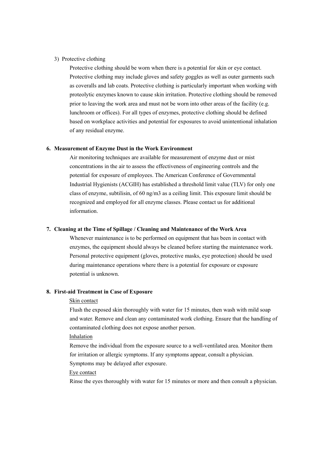#### 3) Protective clothing

Protective clothing should be worn when there is a potential for skin or eye contact. Protective clothing may include gloves and safety goggles as well as outer garments such as coveralls and lab coats. Protective clothing is particularly important when working with proteolytic enzymes known to cause skin irritation. Protective clothing should be removed prior to leaving the work area and must not be worn into other areas of the facility (e.g. lunchroom or offices). For all types of enzymes, protective clothing should be defined based on workplace activities and potential for exposures to avoid unintentional inhalation of any residual enzyme.

#### **6. Measurement of Enzyme Dust in the Work Environment**

Air monitoring techniques are available for measurement of enzyme dust or mist concentrations in the air to assess the effectiveness of engineering controls and the potential for exposure of employees. The American Conference of Governmental Industrial Hygienists (ACGIH) has established a threshold limit value (TLV) for only one class of enzyme, subtilisin, of 60 ng/m3 as a ceiling limit. This exposure limit should be recognized and employed for all enzyme classes. Please contact us for additional information.

#### **7. Cleaning at the Time of Spillage / Cleaning and Maintenance of the Work Area**

Whenever maintenance is to be performed on equipment that has been in contact with enzymes, the equipment should always be cleaned before starting the maintenance work. Personal protective equipment (gloves, protective masks, eye protection) should be used during maintenance operations where there is a potential for exposure or exposure potential is unknown.

#### **8. First-aid Treatment in Case of Exposure**

#### Skin contact

Flush the exposed skin thoroughly with water for 15 minutes, then wash with mild soap and water. Remove and clean any contaminated work clothing. Ensure that the handling of contaminated clothing does not expose another person.

#### Inhalation

Remove the individual from the exposure source to a well-ventilated area. Monitor them for irritation or allergic symptoms. If any symptoms appear, consult a physician. Symptoms may be delayed after exposure.

#### Eye contact

Rinse the eyes thoroughly with water for 15 minutes or more and then consult a physician.